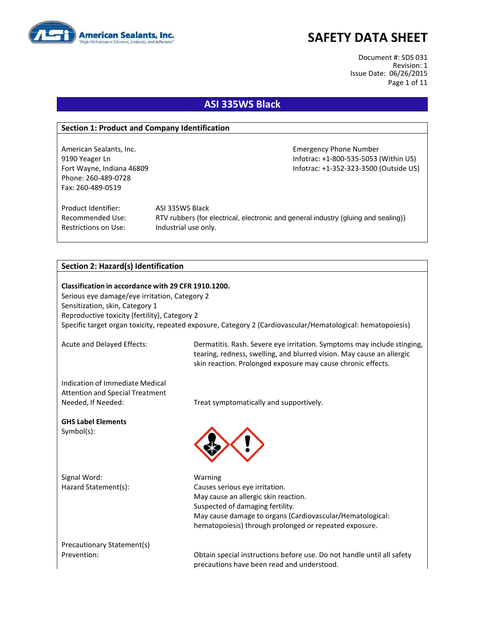

Document #: SDS 031 Revision: 1 Issue Date: 06/26/2015 Page 1 of 11

### **ASI 335WS Black**

#### **Section 1: Product and Company Identification**

Phone: 260-489-0728 Fax: 260-489-0519

American Sealants, Inc. **Emergency Phone Number** Emergency Phone Number 9190 Yeager Ln Infotrac: +1-800-535-5053 (Within US) Fort Wayne, Indiana 46809 **Information Controller Server Accord Provide CO**S) **Infotrac: +1-352-323-3500 (Outside US)** 

Product Identifier: ASI 335WS Black Restrictions on Use: Industrial use only.

Recommended Use: RTV rubbers (for electrical, electronic and general industry (gluing and sealing))

#### **Section 2: Hazard(s) Identification**

**Classification in accordance with 29 CFR 1910.1200.** Serious eye damage/eye irritation, Category 2 Sensitization, skin, Category 1 Reproductive toxicity (fertility), Category 2 Specific target organ toxicity, repeated exposure, Category 2 (Cardiovascular/Hematological: hematopoiesis)

Acute and Delayed Effects: Dermatitis. Rash. Severe eye irritation. Symptoms may include stinging, tearing, redness, swelling, and blurred vision. May cause an allergic skin reaction. Prolonged exposure may cause chronic effects.

Indication of Immediate Medical Attention and Special Treatment

**GHS Label Elements** Symbol(s):

Signal Word: Warning

Needed, If Needed: Treat symptomatically and supportively.



Hazard Statement(s): Causes serious eye irritation. May cause an allergic skin reaction. Suspected of damaging fertility. May cause damage to organs (Cardiovascular/Hematological: hematopoiesis) through prolonged or repeated exposure.

Precautionary Statement(s)

Prevention: Obtain special instructions before use. Do not handle until all safety precautions have been read and understood.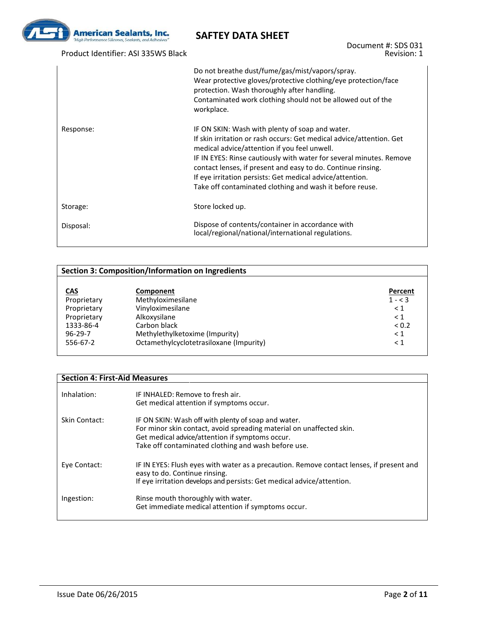

### Product Identifier: ASI 335WS Black

Document #: SDS 031 Revision: 1

|           | Do not breathe dust/fume/gas/mist/vapors/spray.<br>Wear protective gloves/protective clothing/eye protection/face<br>protection. Wash thoroughly after handling.<br>Contaminated work clothing should not be allowed out of the<br>workplace.                                                                                                                                                                                           |
|-----------|-----------------------------------------------------------------------------------------------------------------------------------------------------------------------------------------------------------------------------------------------------------------------------------------------------------------------------------------------------------------------------------------------------------------------------------------|
| Response: | IF ON SKIN: Wash with plenty of soap and water.<br>If skin irritation or rash occurs: Get medical advice/attention. Get<br>medical advice/attention if you feel unwell.<br>IF IN EYES: Rinse cautiously with water for several minutes. Remove<br>contact lenses, if present and easy to do. Continue rinsing.<br>If eye irritation persists: Get medical advice/attention.<br>Take off contaminated clothing and wash it before reuse. |
| Storage:  | Store locked up.                                                                                                                                                                                                                                                                                                                                                                                                                        |
| Disposal: | Dispose of contents/container in accordance with<br>local/regional/national/international regulations.                                                                                                                                                                                                                                                                                                                                  |

| <b>Section 3: Composition/Information on Ingredients</b> |                                         |           |
|----------------------------------------------------------|-----------------------------------------|-----------|
|                                                          |                                         |           |
| <b>CAS</b>                                               | Component                               | Percent   |
| Proprietary                                              | Methyloximesilane                       | $1 - < 3$ |
| Proprietary                                              | Vinyloximesilane                        | $\leq 1$  |
| Proprietary                                              | Alkoxysilane                            | $\leq 1$  |
| 1333-86-4                                                | Carbon black                            | < 0.2     |
| $96 - 29 - 7$                                            | Methylethylketoxime (Impurity)          | $\leq 1$  |
| 556-67-2                                                 | Octamethylcyclotetrasiloxane (Impurity) | $\leq 1$  |

#### **Section 4: First-Aid Measures**

| Inhalation:   | IF INHALFD: Remove to fresh air.<br>Get medical attention if symptoms occur.                                                                                                                                                          |
|---------------|---------------------------------------------------------------------------------------------------------------------------------------------------------------------------------------------------------------------------------------|
| Skin Contact: | IF ON SKIN: Wash off with plenty of soap and water.<br>For minor skin contact, avoid spreading material on unaffected skin.<br>Get medical advice/attention if symptoms occur.<br>Take off contaminated clothing and wash before use. |
| Eye Contact:  | IF IN EYES: Flush eyes with water as a precaution. Remove contact lenses, if present and<br>easy to do. Continue rinsing.<br>If eye irritation develops and persists: Get medical advice/attention.                                   |
| Ingestion:    | Rinse mouth thoroughly with water.<br>Get immediate medical attention if symptoms occur.                                                                                                                                              |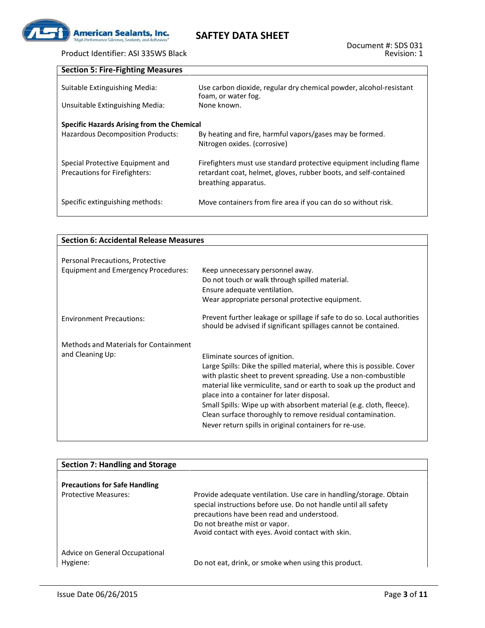

### Product Identifier: ASI 335WS Black

| <b>Section 5: Fire-Fighting Measures</b>                                               |                                                                                                                                                                 |
|----------------------------------------------------------------------------------------|-----------------------------------------------------------------------------------------------------------------------------------------------------------------|
| Suitable Extinguishing Media:                                                          | Use carbon dioxide, regular dry chemical powder, alcohol-resistant<br>foam, or water fog.                                                                       |
| Unsuitable Extinguishing Media:                                                        | None known.                                                                                                                                                     |
| <b>Specific Hazards Arising from the Chemical</b><br>Hazardous Decomposition Products: | By heating and fire, harmful vapors/gases may be formed.<br>Nitrogen oxides. (corrosive)                                                                        |
| Special Protective Equipment and<br><b>Precautions for Firefighters:</b>               | Firefighters must use standard protective equipment including flame<br>retardant coat, helmet, gloves, rubber boots, and self-contained<br>breathing apparatus. |
| Specific extinguishing methods:                                                        | Move containers from fire area if you can do so without risk.                                                                                                   |

| <b>Section 6: Accidental Release Measures</b>                                                                                                                                                                                                                                                                                                                                                                                                                                                  |  |  |  |
|------------------------------------------------------------------------------------------------------------------------------------------------------------------------------------------------------------------------------------------------------------------------------------------------------------------------------------------------------------------------------------------------------------------------------------------------------------------------------------------------|--|--|--|
|                                                                                                                                                                                                                                                                                                                                                                                                                                                                                                |  |  |  |
|                                                                                                                                                                                                                                                                                                                                                                                                                                                                                                |  |  |  |
| Keep unnecessary personnel away.<br>Do not touch or walk through spilled material.<br>Ensure adequate ventilation.                                                                                                                                                                                                                                                                                                                                                                             |  |  |  |
| Wear appropriate personal protective equipment.                                                                                                                                                                                                                                                                                                                                                                                                                                                |  |  |  |
| Prevent further leakage or spillage if safe to do so. Local authorities<br>should be advised if significant spillages cannot be contained.                                                                                                                                                                                                                                                                                                                                                     |  |  |  |
| Eliminate sources of ignition.<br>Large Spills: Dike the spilled material, where this is possible. Cover<br>with plastic sheet to prevent spreading. Use a non-combustible<br>material like vermiculite, sand or earth to soak up the product and<br>place into a container for later disposal.<br>Small Spills: Wipe up with absorbent material (e.g. cloth, fleece).<br>Clean surface thoroughly to remove residual contamination.<br>Never return spills in original containers for re-use. |  |  |  |
|                                                                                                                                                                                                                                                                                                                                                                                                                                                                                                |  |  |  |

| Section 7: Handling and Storage            |                                                                                                                                                                                                                                                                           |
|--------------------------------------------|---------------------------------------------------------------------------------------------------------------------------------------------------------------------------------------------------------------------------------------------------------------------------|
|                                            |                                                                                                                                                                                                                                                                           |
| <b>Precautions for Safe Handling</b>       |                                                                                                                                                                                                                                                                           |
| <b>Protective Measures:</b>                | Provide adequate ventilation. Use care in handling/storage. Obtain<br>special instructions before use. Do not handle until all safety<br>precautions have been read and understood.<br>Do not breathe mist or vapor.<br>Avoid contact with eyes. Avoid contact with skin. |
| Advice on General Occupational<br>Hygiene: | Do not eat, drink, or smoke when using this product.                                                                                                                                                                                                                      |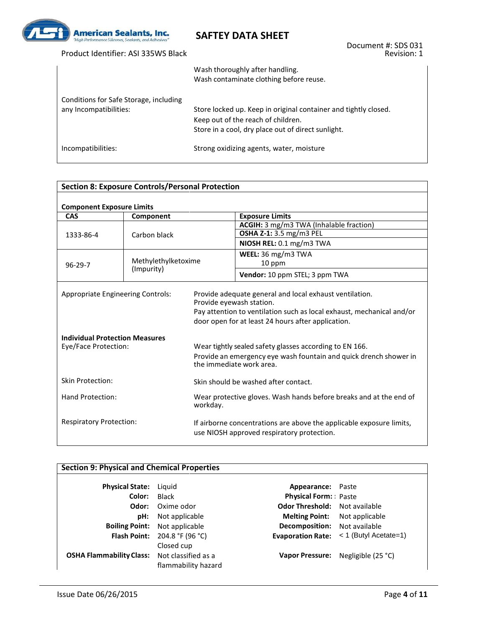

Product Identifier: ASI 335WS Black

### **SAFTEY DATA SHEET**

|                                                                  | Wash thoroughly after handling.<br>Wash contaminate clothing before reuse.                                                                                  |
|------------------------------------------------------------------|-------------------------------------------------------------------------------------------------------------------------------------------------------------|
| Conditions for Safe Storage, including<br>any Incompatibilities: | Store locked up. Keep in original container and tightly closed.<br>Keep out of the reach of children.<br>Store in a cool, dry place out of direct sunlight. |
| Incompatibilities:                                               | Strong oxidizing agents, water, moisture                                                                                                                    |

| <b>Section 8: Exposure Controls/Personal Protection</b>                                                   |                     |                                                                                                                    |                                                                                                                                                                                                                                                   |  |
|-----------------------------------------------------------------------------------------------------------|---------------------|--------------------------------------------------------------------------------------------------------------------|---------------------------------------------------------------------------------------------------------------------------------------------------------------------------------------------------------------------------------------------------|--|
| <b>Component Exposure Limits</b>                                                                          |                     |                                                                                                                    |                                                                                                                                                                                                                                                   |  |
| <b>CAS</b>                                                                                                | Component           |                                                                                                                    | <b>Exposure Limits</b>                                                                                                                                                                                                                            |  |
|                                                                                                           |                     |                                                                                                                    | ACGIH: 3 mg/m3 TWA (Inhalable fraction)                                                                                                                                                                                                           |  |
| 1333-86-4                                                                                                 | Carbon black        |                                                                                                                    | OSHA Z-1: 3.5 mg/m3 PEL                                                                                                                                                                                                                           |  |
|                                                                                                           |                     |                                                                                                                    | NIOSH REL: 0.1 mg/m3 TWA                                                                                                                                                                                                                          |  |
|                                                                                                           |                     |                                                                                                                    | WEEL: 36 mg/m3 TWA                                                                                                                                                                                                                                |  |
| $96 - 29 - 7$                                                                                             | Methylethylketoxime |                                                                                                                    | 10 ppm                                                                                                                                                                                                                                            |  |
|                                                                                                           | (Impurity)          |                                                                                                                    | Vendor: 10 ppm STEL; 3 ppm TWA                                                                                                                                                                                                                    |  |
| <b>Appropriate Engineering Controls:</b><br><b>Individual Protection Measures</b><br>Eye/Face Protection: |                     | Provide eyewash station.                                                                                           | Provide adequate general and local exhaust ventilation.<br>Pay attention to ventilation such as local exhaust, mechanical and/or<br>door open for at least 24 hours after application.<br>Wear tightly sealed safety glasses according to EN 166. |  |
|                                                                                                           |                     | Provide an emergency eye wash fountain and quick drench shower in<br>the immediate work area.                      |                                                                                                                                                                                                                                                   |  |
| <b>Skin Protection:</b>                                                                                   |                     |                                                                                                                    | Skin should be washed after contact.                                                                                                                                                                                                              |  |
| Hand Protection:<br>workday.                                                                              |                     |                                                                                                                    | Wear protective gloves. Wash hands before breaks and at the end of                                                                                                                                                                                |  |
| <b>Respiratory Protection:</b>                                                                            |                     | If airborne concentrations are above the applicable exposure limits,<br>use NIOSH approved respiratory protection. |                                                                                                                                                                                                                                                   |  |

### **Section 9: Physical and Chemical Properties**

| <b>Physical State:</b>                              | Liguid                               | <b>Appearance:</b> Paste             |                                                    |
|-----------------------------------------------------|--------------------------------------|--------------------------------------|----------------------------------------------------|
| Color:                                              | Black                                | <b>Physical Form:</b> Paste          |                                                    |
| Odor:                                               | Oxime odor                           | Odor Threshold: Not available        |                                                    |
| pH:                                                 | Not applicable                       | <b>Melting Point:</b> Not applicable |                                                    |
|                                                     | <b>Boiling Point:</b> Not applicable | <b>Decomposition:</b> Not available  |                                                    |
|                                                     | <b>Flash Point:</b> 204.8 °F (96 °C) |                                      | <b>Evaporation Rate:</b> $\lt$ 1 (Butyl Acetate=1) |
|                                                     | Closed cup                           |                                      |                                                    |
| <b>OSHA Flammability Class:</b> Not classified as a |                                      |                                      | Vapor Pressure: Negligible (25 °C)                 |
|                                                     | flammability hazard                  |                                      |                                                    |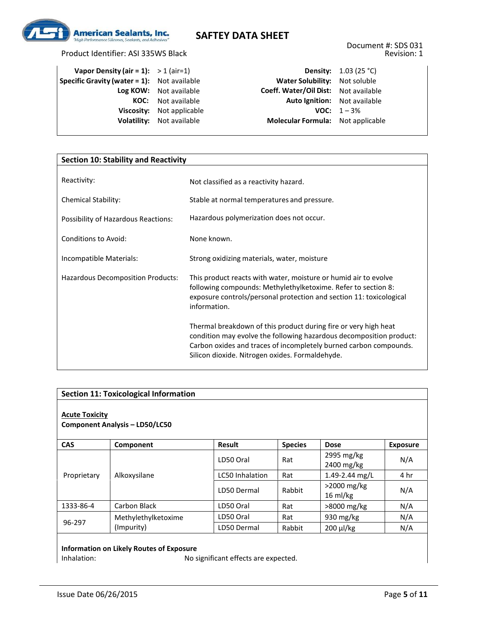

| Vapor Density (air = 1): $>1$ (air=1)              |                           |                                      | <b>Density:</b> $1.03(25 °C)$ |
|----------------------------------------------------|---------------------------|--------------------------------------|-------------------------------|
| <b>Specific Gravity (water = 1):</b> Not available |                           | Water Solubility: Not soluble        |                               |
|                                                    | Log KOW: Not available    | Coeff. Water/Oil Dist: Not available |                               |
|                                                    | <b>KOC:</b> Not available | <b>Auto Ignition:</b> Not available  |                               |
|                                                    | Viscosity: Not applicable |                                      | <b>VOC:</b> $1 - 3\%$         |
|                                                    | Volatility: Not available | Molecular Formula: Not applicable    |                               |

| <b>Section 10: Stability and Reactivity</b> |                                                                                                                                                                                                                                                                |  |  |
|---------------------------------------------|----------------------------------------------------------------------------------------------------------------------------------------------------------------------------------------------------------------------------------------------------------------|--|--|
| Reactivity:                                 | Not classified as a reactivity hazard.                                                                                                                                                                                                                         |  |  |
| <b>Chemical Stability:</b>                  | Stable at normal temperatures and pressure.                                                                                                                                                                                                                    |  |  |
| Possibility of Hazardous Reactions:         | Hazardous polymerization does not occur.                                                                                                                                                                                                                       |  |  |
| <b>Conditions to Avoid:</b>                 | None known.                                                                                                                                                                                                                                                    |  |  |
| Incompatible Materials:                     | Strong oxidizing materials, water, moisture                                                                                                                                                                                                                    |  |  |
| Hazardous Decomposition Products:           | This product reacts with water, moisture or humid air to evolve<br>following compounds: Methylethylketoxime. Refer to section 8:<br>exposure controls/personal protection and section 11: toxicological<br>information.                                        |  |  |
|                                             | Thermal breakdown of this product during fire or very high heat<br>condition may evolve the following hazardous decomposition product:<br>Carbon oxides and traces of incompletely burned carbon compounds.<br>Silicon dioxide. Nitrogen oxides. Formaldehyde. |  |  |

| <b>Section 11: Toxicological Information</b>                   |                     |                        |                |                                      |                 |  |
|----------------------------------------------------------------|---------------------|------------------------|----------------|--------------------------------------|-----------------|--|
| <b>Acute Toxicity</b><br><b>Component Analysis - LD50/LC50</b> |                     |                        |                |                                      |                 |  |
| <b>CAS</b>                                                     | Component           | Result                 | <b>Species</b> | <b>Dose</b>                          | <b>Exposure</b> |  |
|                                                                |                     | LD50 Oral              | Rat            | 2995 mg/kg<br>2400 mg/kg             | N/A             |  |
| Proprietary                                                    | Alkoxysilane        | <b>LC50 Inhalation</b> | Rat            | 1.49-2.44 mg/L                       | 4 hr            |  |
|                                                                |                     | LD50 Dermal            | Rabbit         | $>$ 2000 mg/kg<br>$16 \text{ ml/kg}$ | N/A             |  |
| 1333-86-4                                                      | Carbon Black        | LD50 Oral              | Rat            | >8000 mg/kg                          | N/A             |  |
| 96-297                                                         | Methylethylketoxime | LD50 Oral              | Rat            | 930 mg/kg                            | N/A             |  |
|                                                                | (Impurity)          | LD50 Dermal            | Rabbit         | $200 \mu$ /kg                        | N/A             |  |

# **Information on Likely Routes of Exposure**

No significant effects are expected.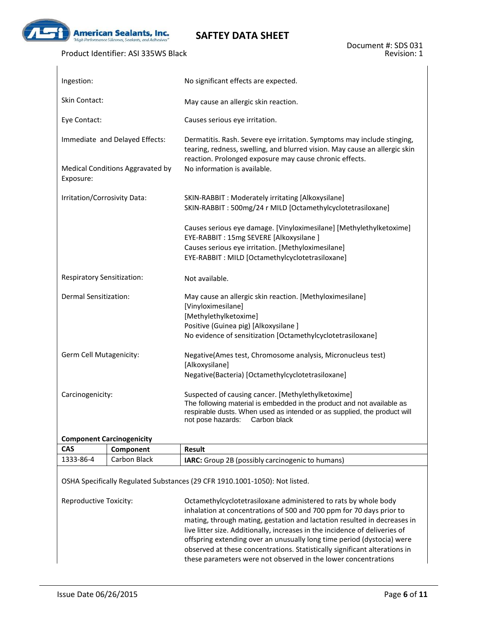

 $\mathbf{I}$ 

### **SAFTEY DATA SHEET**

#### Product Identifier: ASI 335WS Black

| Ingestion:                                    | No significant effects are expected.                                                                                                                                                                                                          |
|-----------------------------------------------|-----------------------------------------------------------------------------------------------------------------------------------------------------------------------------------------------------------------------------------------------|
| Skin Contact:                                 | May cause an allergic skin reaction.                                                                                                                                                                                                          |
| Eye Contact:                                  | Causes serious eye irritation.                                                                                                                                                                                                                |
| Immediate and Delayed Effects:                | Dermatitis. Rash. Severe eye irritation. Symptoms may include stinging,<br>tearing, redness, swelling, and blurred vision. May cause an allergic skin<br>reaction. Prolonged exposure may cause chronic effects.                              |
| Medical Conditions Aggravated by<br>Exposure: | No information is available.                                                                                                                                                                                                                  |
| Irritation/Corrosivity Data:                  | SKIN-RABBIT : Moderately irritating [Alkoxysilane]<br>SKIN-RABBIT: 500mg/24 r MILD [Octamethylcyclotetrasiloxane]                                                                                                                             |
|                                               | Causes serious eye damage. [Vinyloximesilane] [Methylethylketoxime]<br>EYE-RABBIT: 15mg SEVERE [Alkoxysilane ]<br>Causes serious eye irritation. [Methyloximesilane]<br>EYE-RABBIT: MILD [Octamethylcyclotetrasiloxane]                       |
| <b>Respiratory Sensitization:</b>             | Not available.                                                                                                                                                                                                                                |
| Dermal Sensitization:                         | May cause an allergic skin reaction. [Methyloximesilane]<br>[Vinyloximesilane]<br>[Methylethylketoxime]<br>Positive (Guinea pig) [Alkoxysilane]<br>No evidence of sensitization [Octamethylcyclotetrasiloxane]                                |
| Germ Cell Mutagenicity:                       | Negative(Ames test, Chromosome analysis, Micronucleus test)<br>[Alkoxysilane]<br>Negative(Bacteria) [Octamethylcyclotetrasiloxane]                                                                                                            |
| Carcinogenicity:                              | Suspected of causing cancer. [Methylethylketoxime]<br>The following material is embedded in the product and not available as<br>respirable dusts. When used as intended or as supplied, the product will<br>not pose hazards:<br>Carbon black |

#### **Component Carcinogenicity**

| <b>CAS</b> | Component    | <b>Result</b>                                           |
|------------|--------------|---------------------------------------------------------|
| 1333-86-4  | Carbon Black | <b>IARC:</b> Group 2B (possibly carcinogenic to humans) |

OSHA Specifically Regulated Substances (29 CFR 1910.1001-1050): Not listed.

Reproductive Toxicity: Octamethylcyclotetrasiloxane administered to rats by whole body inhalation at concentrations of 500 and 700 ppm for 70 days prior to mating, through mating, gestation and lactation resulted in decreases in live litter size. Additionally, increases in the incidence of deliveries of offspring extending over an unusually long time period (dystocia) were observed at these concentrations. Statistically significant alterations in these parameters were not observed in the lower concentrations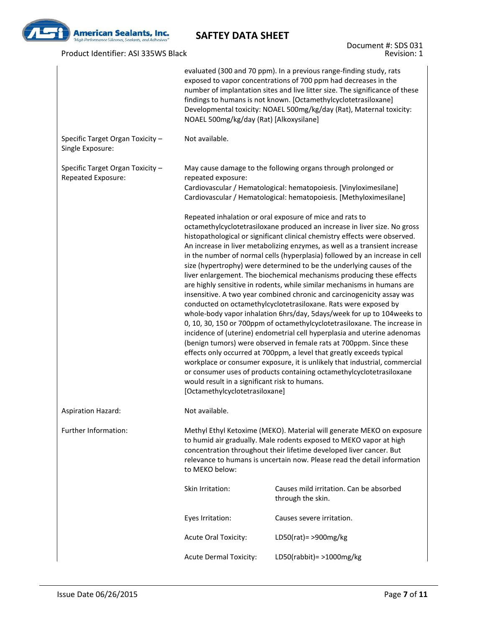

### Product Identifier: ASI 335WS Black

Document #: SDS 031 Revision: 1

|                                                        | NOAEL 500mg/kg/day (Rat) [Alkoxysilane]                                         | evaluated (300 and 70 ppm). In a previous range-finding study, rats<br>exposed to vapor concentrations of 700 ppm had decreases in the<br>number of implantation sites and live litter size. The significance of these<br>findings to humans is not known. [Octamethylcyclotetrasiloxane]<br>Developmental toxicity: NOAEL 500mg/kg/day (Rat), Maternal toxicity:                                                                                                                                                                                                                                                                                                                                                                                                                                                                                                                                                                                                                                                                                                                                                                                                                                                                                                                                    |
|--------------------------------------------------------|---------------------------------------------------------------------------------|------------------------------------------------------------------------------------------------------------------------------------------------------------------------------------------------------------------------------------------------------------------------------------------------------------------------------------------------------------------------------------------------------------------------------------------------------------------------------------------------------------------------------------------------------------------------------------------------------------------------------------------------------------------------------------------------------------------------------------------------------------------------------------------------------------------------------------------------------------------------------------------------------------------------------------------------------------------------------------------------------------------------------------------------------------------------------------------------------------------------------------------------------------------------------------------------------------------------------------------------------------------------------------------------------|
| Specific Target Organ Toxicity -<br>Single Exposure:   | Not available.                                                                  |                                                                                                                                                                                                                                                                                                                                                                                                                                                                                                                                                                                                                                                                                                                                                                                                                                                                                                                                                                                                                                                                                                                                                                                                                                                                                                      |
| Specific Target Organ Toxicity -<br>Repeated Exposure: | repeated exposure:                                                              | May cause damage to the following organs through prolonged or<br>Cardiovascular / Hematological: hematopoiesis. [Vinyloximesilane]<br>Cardiovascular / Hematological: hematopoiesis. [Methyloximesilane]                                                                                                                                                                                                                                                                                                                                                                                                                                                                                                                                                                                                                                                                                                                                                                                                                                                                                                                                                                                                                                                                                             |
|                                                        | would result in a significant risk to humans.<br>[Octamethylcyclotetrasiloxane] | Repeated inhalation or oral exposure of mice and rats to<br>octamethylcyclotetrasiloxane produced an increase in liver size. No gross<br>histopathological or significant clinical chemistry effects were observed.<br>An increase in liver metabolizing enzymes, as well as a transient increase<br>in the number of normal cells (hyperplasia) followed by an increase in cell<br>size (hypertrophy) were determined to be the underlying causes of the<br>liver enlargement. The biochemical mechanisms producing these effects<br>are highly sensitive in rodents, while similar mechanisms in humans are<br>insensitive. A two year combined chronic and carcinogenicity assay was<br>conducted on octamethylcyclotetrasiloxane. Rats were exposed by<br>whole-body vapor inhalation 6hrs/day, 5days/week for up to 104 weeks to<br>0, 10, 30, 150 or 700ppm of octamethylcyclotetrasiloxane. The increase in<br>incidence of (uterine) endometrial cell hyperplasia and uterine adenomas<br>(benign tumors) were observed in female rats at 700ppm. Since these<br>effects only occurred at 700ppm, a level that greatly exceeds typical<br>workplace or consumer exposure, it is unlikely that industrial, commercial<br>or consumer uses of products containing octamethylcyclotetrasiloxane |
| <b>Aspiration Hazard:</b>                              | Not available.                                                                  |                                                                                                                                                                                                                                                                                                                                                                                                                                                                                                                                                                                                                                                                                                                                                                                                                                                                                                                                                                                                                                                                                                                                                                                                                                                                                                      |
| Further Information:                                   | to MEKO below:                                                                  | Methyl Ethyl Ketoxime (MEKO). Material will generate MEKO on exposure<br>to humid air gradually. Male rodents exposed to MEKO vapor at high<br>concentration throughout their lifetime developed liver cancer. But<br>relevance to humans is uncertain now. Please read the detail information                                                                                                                                                                                                                                                                                                                                                                                                                                                                                                                                                                                                                                                                                                                                                                                                                                                                                                                                                                                                       |
|                                                        | Skin Irritation:                                                                | Causes mild irritation. Can be absorbed<br>through the skin.                                                                                                                                                                                                                                                                                                                                                                                                                                                                                                                                                                                                                                                                                                                                                                                                                                                                                                                                                                                                                                                                                                                                                                                                                                         |
|                                                        | Eyes Irritation:                                                                | Causes severe irritation.                                                                                                                                                                                                                                                                                                                                                                                                                                                                                                                                                                                                                                                                                                                                                                                                                                                                                                                                                                                                                                                                                                                                                                                                                                                                            |
|                                                        | <b>Acute Oral Toxicity:</b>                                                     | LD50(rat)= >900mg/kg                                                                                                                                                                                                                                                                                                                                                                                                                                                                                                                                                                                                                                                                                                                                                                                                                                                                                                                                                                                                                                                                                                                                                                                                                                                                                 |
|                                                        | <b>Acute Dermal Toxicity:</b>                                                   | LD50(rabbit) = $>1000$ mg/kg                                                                                                                                                                                                                                                                                                                                                                                                                                                                                                                                                                                                                                                                                                                                                                                                                                                                                                                                                                                                                                                                                                                                                                                                                                                                         |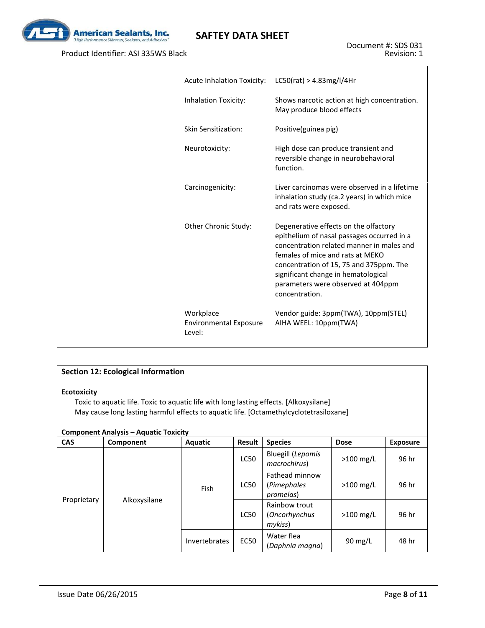

### Product Identifier: ASI 335WS Black

| <b>Acute Inhalation Toxicity:</b>                    | LCSO(rat) > 4.83mg/l/4Hr                                                                                                                                                                                                                                                                                       |
|------------------------------------------------------|----------------------------------------------------------------------------------------------------------------------------------------------------------------------------------------------------------------------------------------------------------------------------------------------------------------|
| Inhalation Toxicity:                                 | Shows narcotic action at high concentration.<br>May produce blood effects                                                                                                                                                                                                                                      |
| Skin Sensitization:                                  | Positive(guinea pig)                                                                                                                                                                                                                                                                                           |
| Neurotoxicity:                                       | High dose can produce transient and<br>reversible change in neurobehavioral<br>function.                                                                                                                                                                                                                       |
| Carcinogenicity:                                     | Liver carcinomas were observed in a lifetime<br>inhalation study (ca.2 years) in which mice<br>and rats were exposed.                                                                                                                                                                                          |
| Other Chronic Study:                                 | Degenerative effects on the olfactory<br>epithelium of nasal passages occurred in a<br>concentration related manner in males and<br>females of mice and rats at MEKO<br>concentration of 15, 75 and 375ppm. The<br>significant change in hematological<br>parameters were observed at 404ppm<br>concentration. |
| Workplace<br><b>Environmental Exposure</b><br>Level: | Vendor guide: 3ppm(TWA), 10ppm(STEL)<br>AIHA WEEL: 10ppm(TWA)                                                                                                                                                                                                                                                  |

### **Section 12: Ecological Information**

#### **Ecotoxicity**

Toxic to aquatic life. Toxic to aquatic life with long lasting effects. [Alkoxysilane] May cause long lasting harmful effects to aquatic life. [Octamethylcyclotetrasiloxane]

#### **Component Analysis – Aquatic Toxicity**

| <b>CAS</b>  | Component    | Aquatic       | Result      | <b>Species</b>                             | <b>Dose</b>       | <b>Exposure</b> |
|-------------|--------------|---------------|-------------|--------------------------------------------|-------------------|-----------------|
|             |              |               | LC50        | <b>Bluegill (Lepomis</b><br>macrochirus)   | $>100$ mg/L       | 96 hr           |
|             |              | Fish          | <b>LC50</b> | Fathead minnow<br>(Pimephales<br>promelas) | $>100$ mg/L       | 96 hr           |
| Proprietary | Alkoxysilane |               | <b>LC50</b> | Rainbow trout<br>(Oncorhynchus<br>mykiss)  | $>100$ mg/L       | 96 hr           |
|             |              | Invertebrates | <b>EC50</b> | Water flea<br>(Daphnia magna)              | $90 \text{ mg/L}$ | 48 hr           |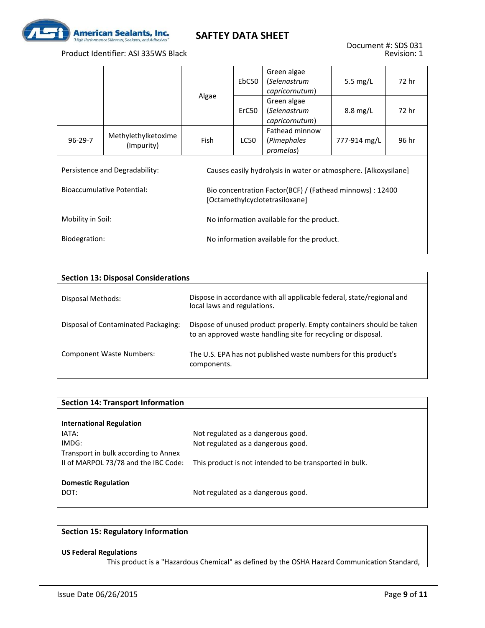

#### Product Identifier: ASI 335WS Black

|                   |                                   |       | EbC50 | Green algae<br>(Selenastrum<br>capricornutum)                                               | 5.5 $mg/L$         | 72 hr |
|-------------------|-----------------------------------|-------|-------|---------------------------------------------------------------------------------------------|--------------------|-------|
|                   |                                   | Algae | ErC50 | Green algae<br>(Selenastrum<br>capricornutum)                                               | $8.8 \text{ mg/L}$ | 72 hr |
| $96-29-7$         | Methylethylketoxime<br>(Impurity) | Fish  | LC50  | Fathead minnow<br>(Pimephales<br>promelas)                                                  | 777-914 mg/L       | 96 hr |
|                   | Persistence and Degradability:    |       |       | Causes easily hydrolysis in water or atmosphere. [Alkoxysilane]                             |                    |       |
|                   | <b>Bioaccumulative Potential:</b> |       |       | Bio concentration Factor(BCF) / (Fathead minnows) : 12400<br>[Octamethylcyclotetrasiloxane] |                    |       |
| Mobility in Soil: |                                   |       |       | No information available for the product.                                                   |                    |       |
| Biodegration:     |                                   |       |       | No information available for the product.                                                   |                    |       |

| <b>Section 13: Disposal Considerations</b> |                                                                                                                                       |
|--------------------------------------------|---------------------------------------------------------------------------------------------------------------------------------------|
| Disposal Methods:                          | Dispose in accordance with all applicable federal, state/regional and<br>local laws and regulations.                                  |
| Disposal of Contaminated Packaging:        | Dispose of unused product properly. Empty containers should be taken<br>to an approved waste handling site for recycling or disposal. |
| <b>Component Waste Numbers:</b>            | The U.S. EPA has not published waste numbers for this product's<br>components.                                                        |

| <b>Section 14: Transport Information</b> |                                                         |
|------------------------------------------|---------------------------------------------------------|
|                                          |                                                         |
| <b>International Regulation</b>          |                                                         |
| IATA:                                    | Not regulated as a dangerous good.                      |
| IMDG:                                    | Not regulated as a dangerous good.                      |
| Transport in bulk according to Annex     |                                                         |
| II of MARPOL 73/78 and the IBC Code:     | This product is not intended to be transported in bulk. |
|                                          |                                                         |
| <b>Domestic Regulation</b>               |                                                         |
| DOT:                                     | Not regulated as a dangerous good.                      |
|                                          |                                                         |

### **Section 15: Regulatory Information**

#### **US Federal Regulations**

This product is a "Hazardous Chemical" as defined by the OSHA Hazard Communication Standard,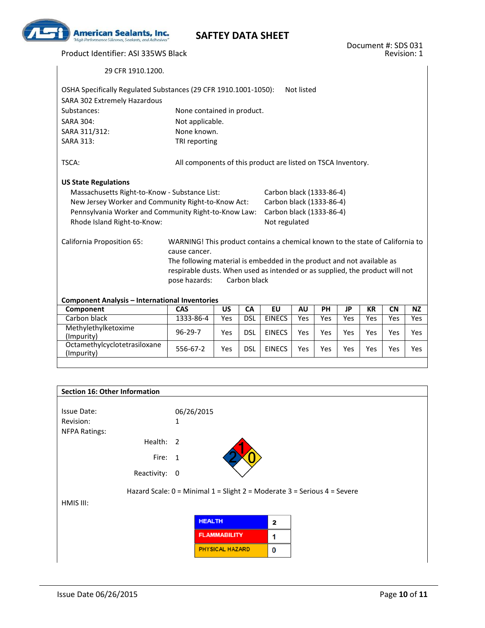

Product Identifier: ASI 335WS Black

29 CFR 1910.1200.

| OSHA Specifically Regulated Substances (29 CFR 1910.1001-1050):<br>SARA 302 Extremely Hazardous |                                                                               |           |              |                          | Not listed |     |           |           |           |            |
|-------------------------------------------------------------------------------------------------|-------------------------------------------------------------------------------|-----------|--------------|--------------------------|------------|-----|-----------|-----------|-----------|------------|
| Substances:                                                                                     | None contained in product.                                                    |           |              |                          |            |     |           |           |           |            |
| <b>SARA 304:</b>                                                                                | Not applicable.                                                               |           |              |                          |            |     |           |           |           |            |
| SARA 311/312:                                                                                   | None known.                                                                   |           |              |                          |            |     |           |           |           |            |
| <b>SARA 313:</b>                                                                                | TRI reporting                                                                 |           |              |                          |            |     |           |           |           |            |
| TSCA:                                                                                           | All components of this product are listed on TSCA Inventory.                  |           |              |                          |            |     |           |           |           |            |
| <b>US State Regulations</b>                                                                     |                                                                               |           |              |                          |            |     |           |           |           |            |
| Massachusetts Right-to-Know - Substance List:                                                   |                                                                               |           |              | Carbon black (1333-86-4) |            |     |           |           |           |            |
| New Jersey Worker and Community Right-to-Know Act:                                              |                                                                               |           |              | Carbon black (1333-86-4) |            |     |           |           |           |            |
| Pennsylvania Worker and Community Right-to-Know Law:                                            |                                                                               |           |              | Carbon black (1333-86-4) |            |     |           |           |           |            |
| Rhode Island Right-to-Know:                                                                     |                                                                               |           |              | Not regulated            |            |     |           |           |           |            |
| California Proposition 65:                                                                      | WARNING! This product contains a chemical known to the state of California to |           |              |                          |            |     |           |           |           |            |
|                                                                                                 | cause cancer.                                                                 |           |              |                          |            |     |           |           |           |            |
|                                                                                                 | The following material is embedded in the product and not available as        |           |              |                          |            |     |           |           |           |            |
|                                                                                                 | respirable dusts. When used as intended or as supplied, the product will not  |           |              |                          |            |     |           |           |           |            |
|                                                                                                 | pose hazards:                                                                 |           | Carbon black |                          |            |     |           |           |           |            |
|                                                                                                 |                                                                               |           |              |                          |            |     |           |           |           |            |
| <b>Component Analysis - International Inventories</b>                                           |                                                                               |           |              |                          |            |     |           |           |           |            |
| Component                                                                                       | CAS                                                                           | <b>US</b> | <b>CA</b>    | EU                       | <b>AU</b>  | PH  | <b>JP</b> | <b>KR</b> | <b>CN</b> | <b>NZ</b>  |
| Carbon black                                                                                    | 1333-86-4                                                                     | Yes       | <b>DSL</b>   | <b>EINECS</b>            | Yes        | Yes | Yes       | Yes       | Yes       | Yes        |
| Methylethylketoxime<br>(Impurity)                                                               | $96 - 29 - 7$                                                                 | Yes       | <b>DSL</b>   | <b>EINECS</b>            | Yes        | Yes | Yes       | Yes       | Yes       | Yes        |
| Octamethylcyclotetrasiloxane<br>(Impurity)                                                      | 556-67-2                                                                      | Yes       | <b>DSL</b>   | <b>EINECS</b>            | Yes        | Yes | Yes       | Yes       | Yes       | <b>Yes</b> |

| Section 16: Other Information     |                     |                        |   |                                                                          |
|-----------------------------------|---------------------|------------------------|---|--------------------------------------------------------------------------|
| <b>Issue Date:</b><br>Revision:   | 06/26/2015<br>1     |                        |   |                                                                          |
| <b>NFPA Ratings:</b><br>Health: 2 |                     |                        |   |                                                                          |
| Fire: 1                           |                     |                        |   |                                                                          |
| Reactivity: 0                     |                     |                        |   |                                                                          |
|                                   |                     |                        |   | Hazard Scale: 0 = Minimal 1 = Slight 2 = Moderate 3 = Serious 4 = Severe |
| HMIS III:                         |                     |                        |   |                                                                          |
|                                   | <b>HEALTH</b>       |                        | 2 |                                                                          |
|                                   | <b>FLAMMABILITY</b> |                        | 1 |                                                                          |
|                                   |                     | <b>PHYSICAL HAZARD</b> | 0 |                                                                          |